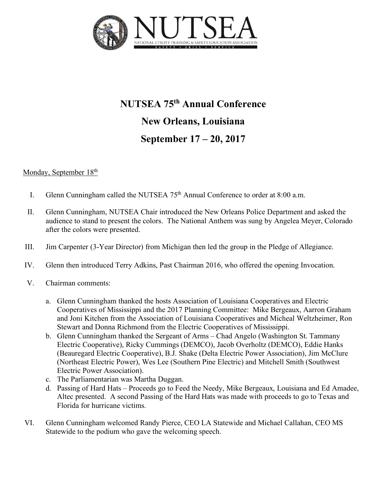

# **NUTSEA 75th Annual Conference New Orleans, Louisiana September 17 – 20, 2017**

## Monday, September 18<sup>th</sup>

- I. Glenn Cunningham called the NUTSEA  $75<sup>th</sup>$  Annual Conference to order at 8:00 a.m.
- II. Glenn Cunningham, NUTSEA Chair introduced the New Orleans Police Department and asked the audience to stand to present the colors. The National Anthem was sung by Angelea Meyer, Colorado after the colors were presented.
- III. Jim Carpenter (3-Year Director) from Michigan then led the group in the Pledge of Allegiance.
- IV. Glenn then introduced Terry Adkins, Past Chairman 2016, who offered the opening Invocation.
- V. Chairman comments:
	- a. Glenn Cunningham thanked the hosts Association of Louisiana Cooperatives and Electric Cooperatives of Mississippi and the 2017 Planning Committee: Mike Bergeaux, Aarron Graham and Joni Kitchen from the Association of Louisiana Cooperatives and Micheal Weltzheimer, Ron Stewart and Donna Richmond from the Electric Cooperatives of Mississippi.
	- b. Glenn Cunningham thanked the Sergeant of Arms Chad Angelo (Washington St. Tammany Electric Cooperative), Ricky Cummings (DEMCO), Jacob Overholtz (DEMCO), Eddie Hanks (Beauregard Electric Cooperative), B.J. Shake (Delta Electric Power Association), Jim McClure (Northeast Electric Power), Wes Lee (Southern Pine Electric) and Mitchell Smith (Southwest Electric Power Association).
	- c. The Parliamentarian was Martha Duggan.
	- d. Passing of Hard Hats Proceeds go to Feed the Needy, Mike Bergeaux, Louisiana and Ed Amadee, Altec presented. A second Passing of the Hard Hats was made with proceeds to go to Texas and Florida for hurricane victims.
- VI. Glenn Cunningham welcomed Randy Pierce, CEO LA Statewide and Michael Callahan, CEO MS Statewide to the podium who gave the welcoming speech.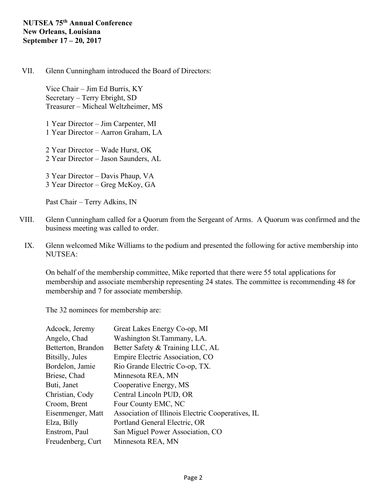### VII. Glenn Cunningham introduced the Board of Directors:

Vice Chair – Jim Ed Burris, KY Secretary – Terry Ebright, SD Treasurer – Micheal Weltzheimer, MS

1 Year Director – Jim Carpenter, MI 1 Year Director – Aarron Graham, LA

2 Year Director – Wade Hurst, OK 2 Year Director – Jason Saunders, AL

3 Year Director – Davis Phaup, VA 3 Year Director – Greg McKoy, GA

Past Chair – Terry Adkins, IN

- VIII. Glenn Cunningham called for a Quorum from the Sergeant of Arms. A Quorum was confirmed and the business meeting was called to order.
- IX. Glenn welcomed Mike Williams to the podium and presented the following for active membership into NUTSEA:

On behalf of the membership committee, Mike reported that there were 55 total applications for membership and associate membership representing 24 states. The committee is recommending 48 for membership and 7 for associate membership.

The 32 nominees for membership are:

| Adcock, Jeremy     | Great Lakes Energy Co-op, MI                      |
|--------------------|---------------------------------------------------|
| Angelo, Chad       | Washington St. Tammany, LA.                       |
| Betterton, Brandon | Better Safety & Training LLC, AL                  |
| Bitsilly, Jules    | Empire Electric Association, CO                   |
| Bordelon, Jamie    | Rio Grande Electric Co-op, TX.                    |
| Briese, Chad       | Minnesota REA, MN                                 |
| Buti, Janet        | Cooperative Energy, MS                            |
| Christian, Cody    | Central Lincoln PUD, OR                           |
| Croom, Brent       | Four County EMC, NC                               |
| Eisenmenger, Matt  | Association of Illinois Electric Cooperatives, IL |
| Elza, Billy        | Portland General Electric, OR                     |
| Enstrom, Paul      | San Miguel Power Association, CO                  |
| Freudenberg, Curt  | Minnesota REA, MN                                 |
|                    |                                                   |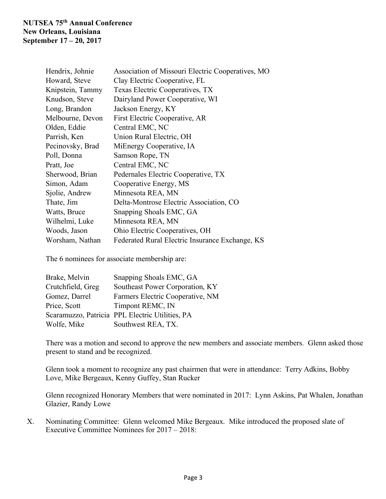| Hendrix, Johnie  | Association of Missouri Electric Cooperatives, MO |  |
|------------------|---------------------------------------------------|--|
| Howard, Steve    | Clay Electric Cooperative, FL                     |  |
| Knipstein, Tammy | Texas Electric Cooperatives, TX                   |  |
| Knudson, Steve   | Dairyland Power Cooperative, WI                   |  |
| Long, Brandon    | Jackson Energy, KY                                |  |
| Melbourne, Devon | First Electric Cooperative, AR                    |  |
| Olden, Eddie     | Central EMC, NC                                   |  |
| Parrish, Ken     | Union Rural Electric, OH                          |  |
| Pecinovsky, Brad | MiEnergy Cooperative, IA                          |  |
| Poll, Donna      | Samson Rope, TN                                   |  |
| Pratt, Joe       | Central EMC, NC                                   |  |
| Sherwood, Brian  | Pedernales Electric Cooperative, TX               |  |
| Simon, Adam      | Cooperative Energy, MS                            |  |
| Sjolie, Andrew   | Minnesota REA, MN                                 |  |
| Thate, Jim       | Delta-Montrose Electric Association, CO           |  |
| Watts, Bruce     | Snapping Shoals EMC, GA                           |  |
| Wilhelmi, Luke   | Minnesota REA, MN                                 |  |
| Woods, Jason     | Ohio Electric Cooperatives, OH                    |  |
| Worsham, Nathan  | Federated Rural Electric Insurance Exchange, KS   |  |

The 6 nominees for associate membership are:

| Brake, Melvin     | Snapping Shoals EMC, GA                         |
|-------------------|-------------------------------------------------|
| Crutchfield, Greg | Southeast Power Corporation, KY                 |
| Gomez, Darrel     | Farmers Electric Cooperative, NM                |
| Price, Scott      | Timpont REMC, IN                                |
|                   | Scaramuzzo, Patricia PPL Electric Utilities, PA |
| Wolfe, Mike       | Southwest REA, TX.                              |

There was a motion and second to approve the new members and associate members. Glenn asked those present to stand and be recognized.

Glenn took a moment to recognize any past chairmen that were in attendance: Terry Adkins, Bobby Love, Mike Bergeaux, Kenny Guffey, Stan Rucker

Glenn recognized Honorary Members that were nominated in 2017: Lynn Askins, Pat Whalen, Jonathan Glazier, Randy Lowe

X. Nominating Committee: Glenn welcomed Mike Bergeaux. Mike introduced the proposed slate of Executive Committee Nominees for 2017 – 2018: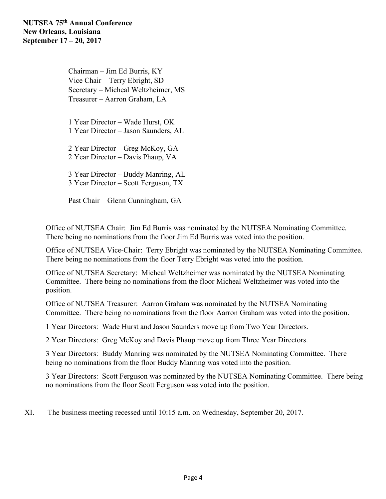Chairman – Jim Ed Burris, KY Vice Chair – Terry Ebright, SD Secretary – Micheal Weltzheimer, MS Treasurer – Aarron Graham, LA

1 Year Director – Wade Hurst, OK 1 Year Director – Jason Saunders, AL

2 Year Director – Greg McKoy, GA 2 Year Director – Davis Phaup, VA

3 Year Director – Buddy Manring, AL 3 Year Director – Scott Ferguson, TX

Past Chair – Glenn Cunningham, GA

Office of NUTSEA Chair: Jim Ed Burris was nominated by the NUTSEA Nominating Committee. There being no nominations from the floor Jim Ed Burris was voted into the position.

Office of NUTSEA Vice-Chair: Terry Ebright was nominated by the NUTSEA Nominating Committee. There being no nominations from the floor Terry Ebright was voted into the position.

Office of NUTSEA Secretary: Micheal Weltzheimer was nominated by the NUTSEA Nominating Committee. There being no nominations from the floor Micheal Weltzheimer was voted into the position.

Office of NUTSEA Treasurer: Aarron Graham was nominated by the NUTSEA Nominating Committee. There being no nominations from the floor Aarron Graham was voted into the position.

1 Year Directors: Wade Hurst and Jason Saunders move up from Two Year Directors.

2 Year Directors: Greg McKoy and Davis Phaup move up from Three Year Directors.

3 Year Directors: Buddy Manring was nominated by the NUTSEA Nominating Committee. There being no nominations from the floor Buddy Manring was voted into the position.

3 Year Directors: Scott Ferguson was nominated by the NUTSEA Nominating Committee. There being no nominations from the floor Scott Ferguson was voted into the position.

XI. The business meeting recessed until 10:15 a.m. on Wednesday, September 20, 2017.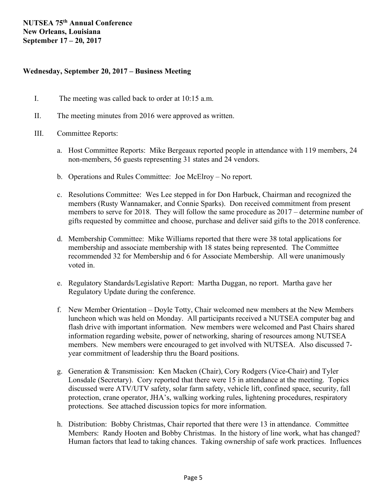### **Wednesday, September 20, 2017 – Business Meeting**

- I. The meeting was called back to order at 10:15 a.m.
- II. The meeting minutes from 2016 were approved as written.
- III. Committee Reports:
	- a. Host Committee Reports: Mike Bergeaux reported people in attendance with 119 members, 24 non-members, 56 guests representing 31 states and 24 vendors.
	- b. Operations and Rules Committee: Joe McElroy No report.
	- c. Resolutions Committee: Wes Lee stepped in for Don Harbuck, Chairman and recognized the members (Rusty Wannamaker, and Connie Sparks). Don received commitment from present members to serve for 2018. They will follow the same procedure as 2017 – determine number of gifts requested by committee and choose, purchase and deliver said gifts to the 2018 conference.
	- d. Membership Committee: Mike Williams reported that there were 38 total applications for membership and associate membership with 18 states being represented. The Committee recommended 32 for Membership and 6 for Associate Membership. All were unanimously voted in.
	- e. Regulatory Standards/Legislative Report: Martha Duggan, no report. Martha gave her Regulatory Update during the conference.
	- f. New Member Orientation Doyle Totty, Chair welcomed new members at the New Members luncheon which was held on Monday. All participants received a NUTSEA computer bag and flash drive with important information. New members were welcomed and Past Chairs shared information regarding website, power of networking, sharing of resources among NUTSEA members. New members were encouraged to get involved with NUTSEA. Also discussed 7 year commitment of leadership thru the Board positions.
	- g. Generation & Transmission: Ken Macken (Chair), Cory Rodgers (Vice-Chair) and Tyler Lonsdale (Secretary). Cory reported that there were 15 in attendance at the meeting. Topics discussed were ATV/UTV safety, solar farm safety, vehicle lift, confined space, security, fall protection, crane operator, JHA's, walking working rules, lightening procedures, respiratory protections. See attached discussion topics for more information.
	- h. Distribution: Bobby Christmas, Chair reported that there were 13 in attendance. Committee Members: Randy Hooten and Bobby Christmas. In the history of line work, what has changed? Human factors that lead to taking chances. Taking ownership of safe work practices. Influences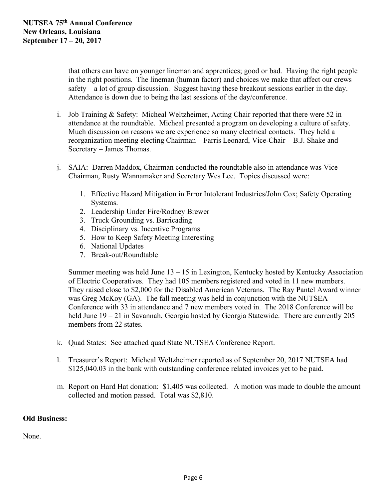that others can have on younger lineman and apprentices; good or bad. Having the right people in the right positions. The lineman (human factor) and choices we make that affect our crews safety – a lot of group discussion. Suggest having these breakout sessions earlier in the day. Attendance is down due to being the last sessions of the day/conference.

- i. Job Training & Safety: Micheal Weltzheimer, Acting Chair reported that there were 52 in attendance at the roundtable. Micheal presented a program on developing a culture of safety. Much discussion on reasons we are experience so many electrical contacts. They held a reorganization meeting electing Chairman – Farris Leonard, Vice-Chair – B.J. Shake and Secretary – James Thomas.
- j. SAIA: Darren Maddox, Chairman conducted the roundtable also in attendance was Vice Chairman, Rusty Wannamaker and Secretary Wes Lee. Topics discussed were:
	- 1. Effective Hazard Mitigation in Error Intolerant Industries/John Cox; Safety Operating Systems.
	- 2. Leadership Under Fire/Rodney Brewer
	- 3. Truck Grounding vs. Barricading
	- 4. Disciplinary vs. Incentive Programs
	- 5. How to Keep Safety Meeting Interesting
	- 6. National Updates
	- 7. Break-out/Roundtable

Summer meeting was held June 13 – 15 in Lexington, Kentucky hosted by Kentucky Association of Electric Cooperatives. They had 105 members registered and voted in 11 new members. They raised close to \$2,000 for the Disabled American Veterans. The Ray Pantel Award winner was Greg McKoy (GA). The fall meeting was held in conjunction with the NUTSEA Conference with 33 in attendance and 7 new members voted in. The 2018 Conference will be held June 19 – 21 in Savannah, Georgia hosted by Georgia Statewide. There are currently 205 members from 22 states.

- k. Quad States: See attached quad State NUTSEA Conference Report.
- l. Treasurer's Report: Micheal Weltzheimer reported as of September 20, 2017 NUTSEA had \$125,040.03 in the bank with outstanding conference related invoices yet to be paid.
- m. Report on Hard Hat donation: \$1,405 was collected. A motion was made to double the amount collected and motion passed. Total was \$2,810.

## **Old Business:**

None.